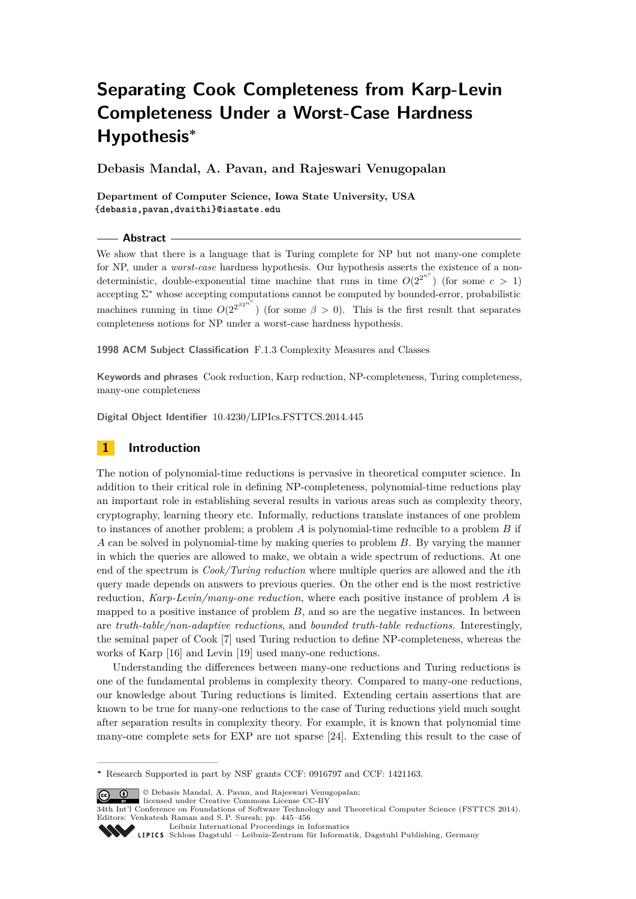# **Separating Cook Completeness from Karp-Levin Completeness Under a Worst-Case Hardness Hypothesis<sup>∗</sup>**

**Debasis Mandal, A. Pavan, and Rajeswari Venugopalan**

**Department of Computer Science, Iowa State University, USA {debasis,pavan,dvaithi}@iastate.edu**

**Abstract**

We show that there is a language that is Turing complete for NP but not many-one complete for NP, under a *worst-case* hardness hypothesis. Our hypothesis asserts the existence of a nondeterministic, double-exponential time machine that runs in time  $O(2^{2^{n^c}})$  (for some  $c > 1$ ) accepting  $\Sigma^*$  whose accepting computations cannot be computed by bounded-error, probabilistic machines running in time  $O(2^{2^{\beta 2^{n^c}}})$  (for some  $\beta > 0$ ). This is the first result that separates completeness notions for NP under a worst-case hardness hypothesis.

**1998 ACM Subject Classification** F.1.3 Complexity Measures and Classes

**Keywords and phrases** Cook reduction, Karp reduction, NP-completeness, Turing completeness, many-one completeness

**Digital Object Identifier** [10.4230/LIPIcs.FSTTCS.2014.445](http://dx.doi.org/10.4230/LIPIcs.FSTTCS.2014.445)

# **1 Introduction**

The notion of polynomial-time reductions is pervasive in theoretical computer science. In addition to their critical role in defining NP-completeness, polynomial-time reductions play an important role in establishing several results in various areas such as complexity theory, cryptography, learning theory etc. Informally, reductions translate instances of one problem to instances of another problem; a problem *A* is polynomial-time reducible to a problem *B* if *A* can be solved in polynomial-time by making queries to problem *B*. By varying the manner in which the queries are allowed to make, we obtain a wide spectrum of reductions. At one end of the spectrum is *Cook/Turing reduction* where multiple queries are allowed and the *i*th query made depends on answers to previous queries. On the other end is the most restrictive reduction, *Karp-Levin/many-one reduction*, where each positive instance of problem *A* is mapped to a positive instance of problem  $B$ , and so are the negative instances. In between are *truth-table/non-adaptive reductions*, and *bounded truth-table reductions*. Interestingly, the seminal paper of Cook [\[7\]](#page-10-0) used Turing reduction to define NP-completeness, whereas the works of Karp [\[16\]](#page-11-0) and Levin [\[19\]](#page-11-1) used many-one reductions.

Understanding the differences between many-one reductions and Turing reductions is one of the fundamental problems in complexity theory. Compared to many-one reductions, our knowledge about Turing reductions is limited. Extending certain assertions that are known to be true for many-one reductions to the case of Turing reductions yield much sought after separation results in complexity theory. For example, it is known that polynomial time many-one complete sets for EXP are not sparse [\[24\]](#page-11-2). Extending this result to the case of

© Debasis Mandal, A. Pavan, and Rajeswari Venugopalan; licensed under Creative Commons License CC-BY

**<sup>∗</sup>** Research Supported in part by NSF grants CCF: 0916797 and CCF: 1421163.

<sup>34</sup>th Int'l Conference on Foundations of Software Technology and Theoretical Computer Science (FSTTCS 2014). Editors: Venkatesh Raman and S. P. Suresh; pp. 445[–456](#page-11-3)

[Leibniz International Proceedings in Informatics](http://www.dagstuhl.de/lipics/) Leibniz international riverenings in missimonal Publishing, Germany<br>LIPICS [Schloss Dagstuhl – Leibniz-Zentrum für Informatik, Dagstuhl Publishing, Germany](http://www.dagstuhl.de)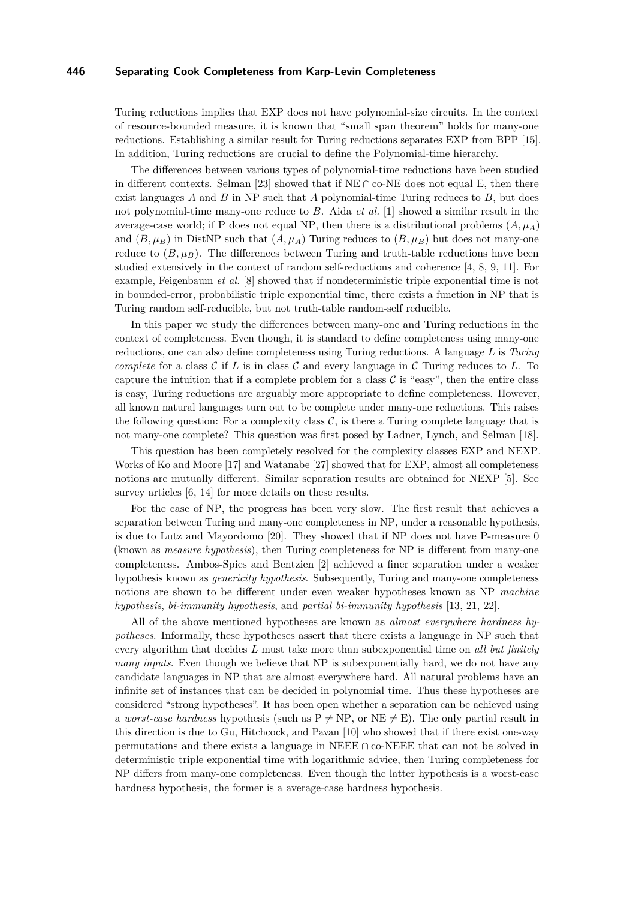Turing reductions implies that EXP does not have polynomial-size circuits. In the context of resource-bounded measure, it is known that "small span theorem" holds for many-one reductions. Establishing a similar result for Turing reductions separates EXP from BPP [\[15\]](#page-11-4). In addition, Turing reductions are crucial to define the Polynomial-time hierarchy.

The differences between various types of polynomial-time reductions have been studied in different contexts. Selman [\[23\]](#page-11-5) showed that if  $NE \cap co-NE$  does not equal E, then there exist languages *A* and *B* in NP such that *A* polynomial-time Turing reduces to *B*, but does not polynomial-time many-one reduce to *B*. Aida *et al.* [\[1\]](#page-10-1) showed a similar result in the average-case world; if P does not equal NP, then there is a distributional problems  $(A, \mu_A)$ and  $(B, \mu_B)$  in DistNP such that  $(A, \mu_A)$  Turing reduces to  $(B, \mu_B)$  but does not many-one reduce to  $(B, \mu_B)$ . The differences between Turing and truth-table reductions have been studied extensively in the context of random self-reductions and coherence [\[4,](#page-10-2) [8,](#page-10-3) [9,](#page-11-6) [11\]](#page-11-7). For example, Feigenbaum *et al.* [\[8\]](#page-10-3) showed that if nondeterministic triple exponential time is not in bounded-error, probabilistic triple exponential time, there exists a function in NP that is Turing random self-reducible, but not truth-table random-self reducible.

In this paper we study the differences between many-one and Turing reductions in the context of completeness. Even though, it is standard to define completeness using many-one reductions, one can also define completeness using Turing reductions. A language *L* is *Turing complete* for a class  $\mathcal C$  if  $L$  is in class  $\mathcal C$  and every language in  $\mathcal C$  Turing reduces to  $L$ . To capture the intuition that if a complete problem for a class  $\mathcal C$  is "easy", then the entire class is easy, Turing reductions are arguably more appropriate to define completeness. However, all known natural languages turn out to be complete under many-one reductions. This raises the following question: For a complexity class  $\mathcal{C}$ , is there a Turing complete language that is not many-one complete? This question was first posed by Ladner, Lynch, and Selman [\[18\]](#page-11-8).

This question has been completely resolved for the complexity classes EXP and NEXP. Works of Ko and Moore [\[17\]](#page-11-9) and Watanabe [\[27\]](#page-11-10) showed that for EXP, almost all completeness notions are mutually different. Similar separation results are obtained for NEXP [\[5\]](#page-10-4). See survey articles  $[6, 14]$  $[6, 14]$  for more details on these results.

For the case of NP, the progress has been very slow. The first result that achieves a separation between Turing and many-one completeness in NP, under a reasonable hypothesis, is due to Lutz and Mayordomo [\[20\]](#page-11-12). They showed that if NP does not have P-measure 0 (known as *measure hypothesis*), then Turing completeness for NP is different from many-one completeness. Ambos-Spies and Bentzien [\[2\]](#page-10-6) achieved a finer separation under a weaker hypothesis known as *genericity hypothesis*. Subsequently, Turing and many-one completeness notions are shown to be different under even weaker hypotheses known as NP *machine hypothesis*, *bi-immunity hypothesis*, and *partial bi-immunity hypothesis* [\[13,](#page-11-13) [21,](#page-11-14) [22\]](#page-11-15).

All of the above mentioned hypotheses are known as *almost everywhere hardness hypotheses*. Informally, these hypotheses assert that there exists a language in NP such that every algorithm that decides *L* must take more than subexponential time on *all but finitely many inputs*. Even though we believe that NP is subexponentially hard, we do not have any candidate languages in NP that are almost everywhere hard. All natural problems have an infinite set of instances that can be decided in polynomial time. Thus these hypotheses are considered "strong hypotheses". It has been open whether a separation can be achieved using a *worst-case hardness* hypothesis (such as  $P \neq NP$ , or  $NE \neq E$ ). The only partial result in this direction is due to Gu, Hitchcock, and Pavan [\[10\]](#page-11-16) who showed that if there exist one-way permutations and there exists a language in NEEE ∩ co-NEEE that can not be solved in deterministic triple exponential time with logarithmic advice, then Turing completeness for NP differs from many-one completeness. Even though the latter hypothesis is a worst-case hardness hypothesis, the former is a average-case hardness hypothesis.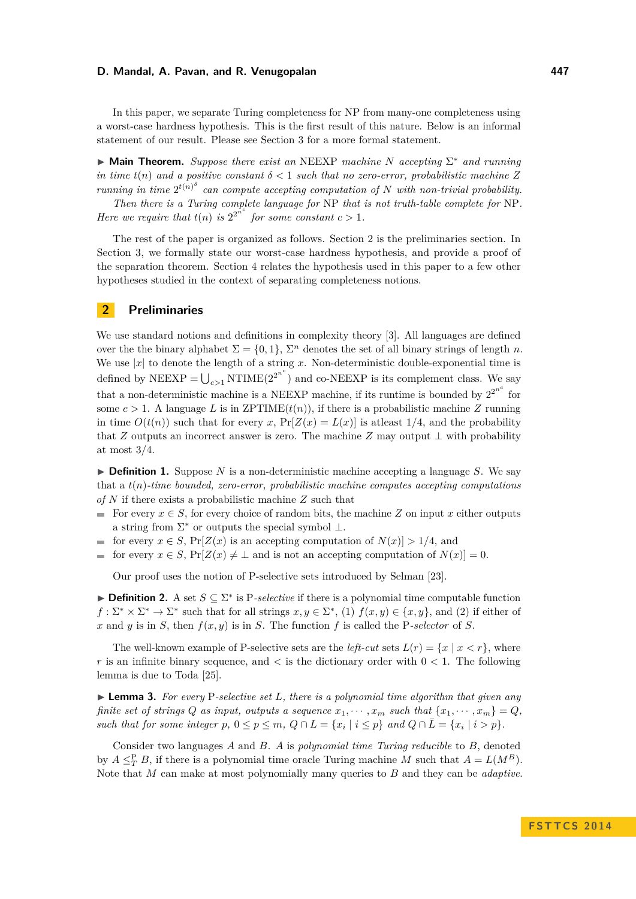In this paper, we separate Turing completeness for NP from many-one completeness using a worst-case hardness hypothesis. This is the first result of this nature. Below is an informal statement of our result. Please see Section 3 for a more formal statement.

I **Main Theorem.** *Suppose there exist an* NEEXP *machine N accepting* Σ <sup>∗</sup> *and running in time*  $t(n)$  *and a positive constant*  $\delta < 1$  *such that no zero-error, probabilistic machine*  $Z$ *running in time*  $2^{t(n)^{\delta}}$  *can compute accepting computation of N with non-trivial probability.* 

*Then there is a Turing complete language for* NP *that is not truth-table complete for* NP*. Here we require that*  $t(n)$  *is*  $2^{2^{n^c}}$  *for some constant*  $c > 1$ *.* 

The rest of the paper is organized as follows. Section 2 is the preliminaries section. In Section 3, we formally state our worst-case hardness hypothesis, and provide a proof of the separation theorem. Section 4 relates the hypothesis used in this paper to a few other hypotheses studied in the context of separating completeness notions.

# **2 Preliminaries**

We use standard notions and definitions in complexity theory [\[3\]](#page-10-7). All languages are defined over the the binary alphabet  $\Sigma = \{0, 1\}$ ,  $\Sigma<sup>n</sup>$  denotes the set of all binary strings of length *n*. We use  $|x|$  to denote the length of a string *x*. Non-deterministic double-exponential time is defined by NEEXP =  $\bigcup_{c>1}$  NTIME(2<sup>2n<sup>c</sup></sup>) and co-NEEXP is its complement class. We say that a non-deterministic machine is a NEEXP machine, if its runtime is bounded by  $2^{2^{n^c}}$  for some  $c > 1$ . A language *L* is in ZPTIME $(t(n))$ , if there is a probabilistic machine *Z* running in time  $O(t(n))$  such that for every *x*,  $Pr[Z(x) = L(x)]$  is at least 1/4, and the probability that *Z* outputs an incorrect answer is zero. The machine *Z* may output ⊥ with probability at most 3*/*4.

 $\triangleright$  **Definition 1.** Suppose *N* is a non-deterministic machine accepting a language *S*. We say that a *t*(*n*)*-time bounded, zero-error, probabilistic machine computes accepting computations of N* if there exists a probabilistic machine *Z* such that

- For every  $x \in S$ , for every choice of random bits, the machine *Z* on input *x* either outputs a string from  $\Sigma^*$  or outputs the special symbol  $\bot$ .
- for every  $x \in S$ ,  $Pr[Z(x)]$  is an accepting computation of  $N(x) > 1/4$ , and  $\blacksquare$
- for every  $x \in S$ ,  $Pr[Z(x) \neq \bot$  and is not an accepting computation of  $N(x) = 0$ .  $\blacksquare$

Our proof uses the notion of P-selective sets introduced by Selman [\[23\]](#page-11-5).

**► Definition 2.** A set  $S \subseteq \Sigma^*$  is P-selective if there is a polynomial time computable function  $f: \Sigma^* \times \Sigma^* \to \Sigma^*$  such that for all strings  $x, y \in \Sigma^*$ , (1)  $f(x, y) \in \{x, y\}$ , and (2) if either of  $x$  and  $y$  is in *S*, then  $f(x, y)$  is in *S*. The function f is called the P*-selector* of *S*.

The well-known example of P-selective sets are the *left-cut* sets  $L(r) = \{x \mid x < r\}$ , where *r* is an infinite binary sequence, and  $\lt$  is the dictionary order with  $0 \lt 1$ . The following lemma is due to Toda [\[25\]](#page-11-17).

I **Lemma 3.** *For every* P*-selective set L, there is a polynomial time algorithm that given any finite set of strings Q as input, outputs a sequence*  $x_1, \dots, x_m$  *such that*  $\{x_1, \dots, x_m\} = Q$ *, such that for some integer*  $p, 0 \leq p \leq m, Q \cap L = \{x_i \mid i \leq p\}$  *and*  $Q \cap \overline{L} = \{x_i \mid i > p\}$ *.* 

Consider two languages *A* and *B*. *A* is *polynomial time Turing reducible* to *B*, denoted by  $A \leq_T^P B$ , if there is a polynomial time oracle Turing machine *M* such that  $A = L(M^B)$ . Note that *M* can make at most polynomially many queries to *B* and they can be *adaptive*.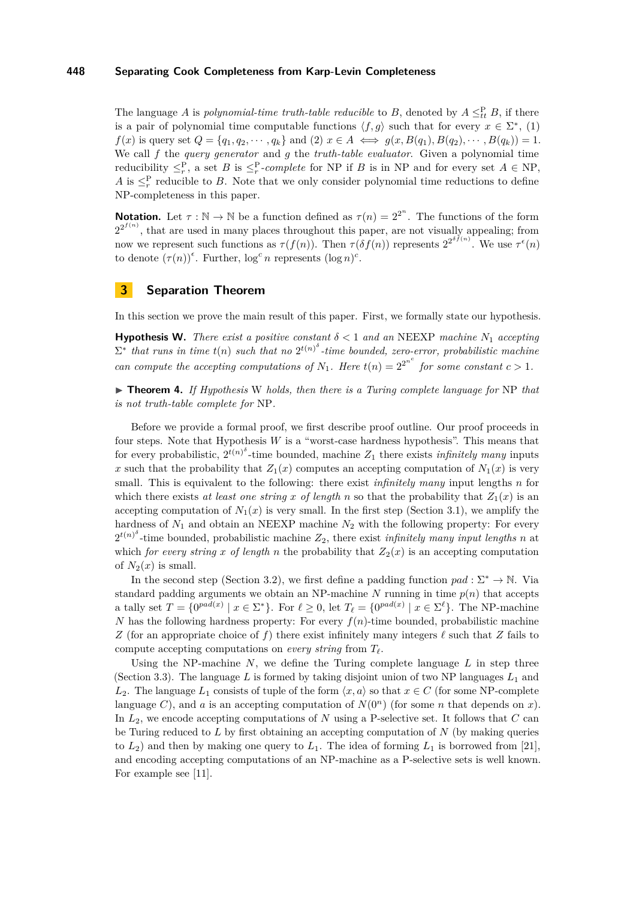The language *A* is *polynomial-time truth-table reducible* to *B*, denoted by  $A \leq_t^P B$ , if there is a pair of polynomial time computable functions  $\langle f, g \rangle$  such that for every  $x \in \Sigma^*$ , (1)  $f(x)$  is query set  $Q = \{q_1, q_2, \dots, q_k\}$  and (2)  $x \in A \iff g(x, B(q_1), B(q_2), \dots, B(q_k)) = 1$ . We call *f* the *query generator* and *g* the *truth-table evaluator*. Given a polynomial time reducibility  $\leq_r^P$ , a set *B* is  $\leq_r^P$ -*complete* for NP if *B* is in NP and for every set  $A \in \text{NP}$ , *A* is  $\leq_r^P$  reducible to *B*. Note that we only consider polynomial time reductions to define NP-completeness in this paper.

**Notation.** Let  $\tau : \mathbb{N} \to \mathbb{N}$  be a function defined as  $\tau(n) = 2^{2^n}$ . The functions of the form  $2^{2^{f(n)}}$ , that are used in many places throughout this paper, are not visually appealing; from now we represent such functions as  $\tau(f(n))$ . Then  $\tau(\delta f(n))$  represents  $2^{2^{\delta f(n)}}$ . We use  $\tau^{\epsilon}(n)$ to denote  $(\tau(n))^{\epsilon}$ . Further,  $\log^c n$  represents  $(\log n)^c$ .

# **3 Separation Theorem**

In this section we prove the main result of this paper. First, we formally state our hypothesis.

**Hypothesis W.** There exist a positive constant  $\delta < 1$  and an NEEXP machine  $N_1$  accepting  $\Sigma^*$  that runs in time  $t(n)$  such that no  $2^{t(n)^{\delta}}$ -time bounded, zero-error, probabilistic machine *can compute the accepting computations of*  $N_1$ *. Here*  $t(n) = 2^{2^{n^c}}$  *for some constant*  $c > 1$ *.* 

▶ **Theorem 4.** If Hypothesis W holds, then there is a Turing complete language for NP that *is not truth-table complete for* NP*.*

Before we provide a formal proof, we first describe proof outline. Our proof proceeds in four steps. Note that Hypothesis *W* is a "worst-case hardness hypothesis". This means that for every probabilistic,  $2^{t(n)^{\delta}}$ -time bounded, machine  $Z_1$  there exists *infinitely many* inputs *x* such that the probability that  $Z_1(x)$  computes an accepting computation of  $N_1(x)$  is very small. This is equivalent to the following: there exist *infinitely many* input lengths *n* for which there exists *at least one string x* of length *n* so that the probability that  $Z_1(x)$  is an accepting computation of  $N_1(x)$  is very small. In the first step (Section [3.1\)](#page-4-0), we amplify the hardness of *N*<sup>1</sup> and obtain an NEEXP machine *N*<sup>2</sup> with the following property: For every  $2^{t(n)^{\delta}}$ -time bounded, probabilistic machine  $Z_2$ , there exist *infinitely many input lengths n* at which *for every string x of length n* the probability that  $Z_2(x)$  is an accepting computation of  $N_2(x)$  is small.

In the second step (Section [3.2\)](#page-5-0), we first define a padding function  $pad : \Sigma^* \to \mathbb{N}$ . Via standard padding arguments we obtain an NP-machine  $N$  running in time  $p(n)$  that accepts a tally set  $T = \{0^{pad(x)} \mid x \in \Sigma^*\}$ . For  $\ell \geq 0$ , let  $T_{\ell} = \{0^{pad(x)} \mid x \in \Sigma^{\ell}\}$ . The NP-machine *N* has the following hardness property: For every  $f(n)$ -time bounded, probabilistic machine *Z* (for an appropriate choice of *f*) there exist infinitely many integers  $\ell$  such that *Z* fails to compute accepting computations on *every string* from *T`*.

Using the NP-machine *N*, we define the Turing complete language *L* in step three (Section [3.3\)](#page-5-1). The language L is formed by taking disjoint union of two NP languages  $L_1$  and *L*<sub>2</sub>. The language *L*<sub>1</sub> consists of tuple of the form  $\langle x, a \rangle$  so that  $x \in C$  (for some NP-complete language *C*), and *a* is an accepting computation of  $N(0^n)$  (for some *n* that depends on *x*). In *L*2, we encode accepting computations of *N* using a P-selective set. It follows that *C* can be Turing reduced to *L* by first obtaining an accepting computation of *N* (by making queries to  $L_2$ ) and then by making one query to  $L_1$ . The idea of forming  $L_1$  is borrowed from [\[21\]](#page-11-14), and encoding accepting computations of an NP-machine as a P-selective sets is well known. For example see [\[11\]](#page-11-7).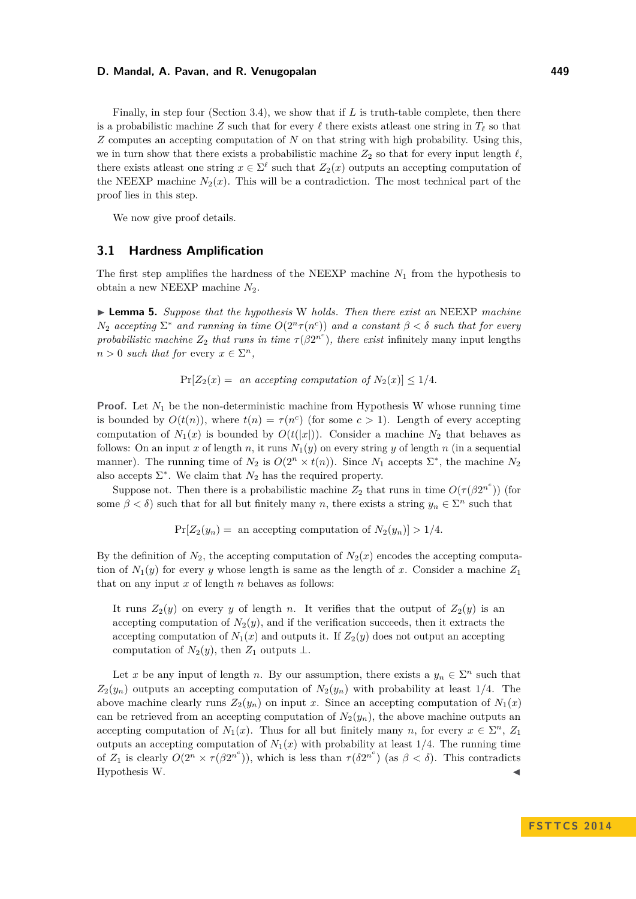Finally, in step four (Section [3.4\)](#page-6-0), we show that if *L* is truth-table complete, then there is a probabilistic machine *Z* such that for every  $\ell$  there exists at least one string in  $T_{\ell}$  so that *Z* computes an accepting computation of *N* on that string with high probability. Using this, we in turn show that there exists a probabilistic machine  $Z_2$  so that for every input length  $\ell$ , there exists at least one string  $x \in \Sigma^{\ell}$  such that  $Z_2(x)$  outputs an accepting computation of the NEEXP machine  $N_2(x)$ . This will be a contradiction. The most technical part of the proof lies in this step.

We now give proof details.

# <span id="page-4-0"></span>**3.1 Hardness Amplification**

The first step amplifies the hardness of the NEEXP machine *N*<sup>1</sup> from the hypothesis to obtain a new NEEXP machine *N*2.

<span id="page-4-1"></span>I **Lemma 5.** *Suppose that the hypothesis* W *holds. Then there exist an* NEEXP *machine*  $N_2$  *accepting*  $\Sigma^*$  *and running in time*  $O(2^n \tau(n^c))$  *and a constant*  $\beta < \delta$  *such that for every probabilistic machine*  $Z_2$  *that runs in time*  $\tau(\beta 2^{n^c})$ *, there exist* infinitely many input lengths  $n > 0$  *such that for* every  $x \in \Sigma^n$ ,

 $Pr[Z_2(x) =$  *an accepting computation of*  $N_2(x) \leq 1/4$ .

**Proof.** Let  $N_1$  be the non-deterministic machine from Hypothesis W whose running time is bounded by  $O(t(n))$ , where  $t(n) = \tau(n^c)$  (for some  $c > 1$ ). Length of every accepting computation of  $N_1(x)$  is bounded by  $O(t(|x|))$ . Consider a machine  $N_2$  that behaves as follows: On an input *x* of length *n*, it runs  $N_1(y)$  on every string *y* of length *n* (in a sequential manner). The running time of  $N_2$  is  $O(2^n \times t(n))$ . Since  $N_1$  accepts  $\Sigma^*$ , the machine  $N_2$ also accepts  $\Sigma^*$ . We claim that  $N_2$  has the required property.

Suppose not. Then there is a probabilistic machine  $Z_2$  that runs in time  $O(\tau(\beta 2^{n^c}))$  (for some  $\beta < \delta$ ) such that for all but finitely many *n*, there exists a string  $y_n \in \Sigma^n$  such that

 $Pr[Z_2(y_n)] =$  an accepting computation of  $N_2(y_n) > 1/4$ .

By the definition of  $N_2$ , the accepting computation of  $N_2(x)$  encodes the accepting computation of  $N_1(y)$  for every *y* whose length is same as the length of *x*. Consider a machine  $Z_1$ that on any input *x* of length *n* behaves as follows:

It runs  $Z_2(y)$  on every *y* of length *n*. It verifies that the output of  $Z_2(y)$  is an accepting computation of  $N_2(y)$ , and if the verification succeeds, then it extracts the accepting computation of  $N_1(x)$  and outputs it. If  $Z_2(y)$  does not output an accepting computation of  $N_2(y)$ , then  $Z_1$  outputs ⊥.

Let x be any input of length *n*. By our assumption, there exists a  $y_n \in \Sigma^n$  such that  $Z_2(y_n)$  outputs an accepting computation of  $N_2(y_n)$  with probability at least 1/4. The above machine clearly runs  $Z_2(y_n)$  on input *x*. Since an accepting computation of  $N_1(x)$ can be retrieved from an accepting computation of  $N_2(y_n)$ , the above machine outputs an accepting computation of  $N_1(x)$ . Thus for all but finitely many *n*, for every  $x \in \Sigma^n$ ,  $Z_1$ outputs an accepting computation of  $N_1(x)$  with probability at least 1/4. The running time of  $Z_1$  is clearly  $O(2^n \times \tau(\beta 2^{n^c}))$ , which is less than  $\tau(\delta 2^{n^c})$  (as  $\beta < \delta$ ). This contradicts Hypothesis W. J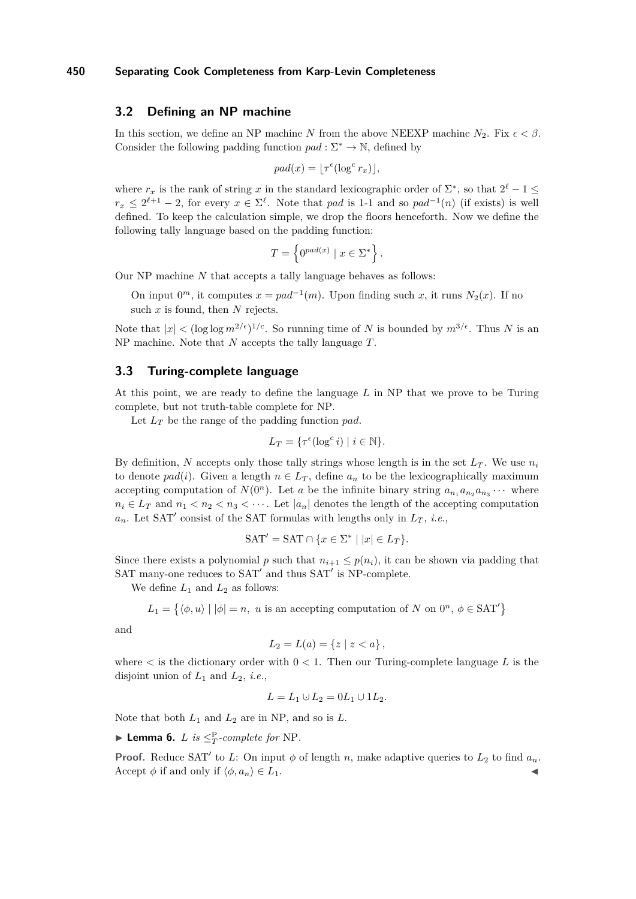# <span id="page-5-0"></span>**3.2 Defining an NP machine**

In this section, we define an NP machine *N* from the above NEEXP machine  $N_2$ . Fix  $\epsilon < \beta$ . Consider the following padding function  $pad: \Sigma^* \to \mathbb{N}$ , defined by

$$
pad(x) = \lfloor \tau^{\epsilon} (\log^c r_x) \rfloor,
$$

where  $r_x$  is the rank of string x in the standard lexicographic order of  $\Sigma^*$ , so that  $2^{\ell} - 1 \leq$  $r_x \leq 2^{\ell+1} - 2$ , for every  $x \in \Sigma^{\ell}$ . Note that *pad* is 1-1 and so  $pad^{-1}(n)$  (if exists) is well defined. To keep the calculation simple, we drop the floors henceforth. Now we define the following tally language based on the padding function:

$$
T = \left\{ 0^{pad(x)} \mid x \in \Sigma^* \right\}.
$$

Our NP machine *N* that accepts a tally language behaves as follows:

On input  $0^m$ , it computes  $x = pad^{-1}(m)$ . Upon finding such *x*, it runs  $N_2(x)$ . If no such *x* is found, then *N* rejects.

Note that  $|x| < (\log \log m^{2/\epsilon})^{1/c}$ . So running time of *N* is bounded by  $m^{3/\epsilon}$ . Thus *N* is an NP machine. Note that *N* accepts the tally language *T*.

# <span id="page-5-1"></span>**3.3 Turing-complete language**

At this point, we are ready to define the language *L* in NP that we prove to be Turing complete, but not truth-table complete for NP.

Let *L<sup>T</sup>* be the range of the padding function *pad*.

$$
L_T = \{ \tau^{\epsilon}(\log^c i) \mid i \in \mathbb{N} \}.
$$

By definition, N accepts only those tally strings whose length is in the set  $L_T$ . We use  $n_i$ to denote  $pad(i)$ . Given a length  $n \in L_T$ , define  $a_n$  to be the lexicographically maximum accepting computation of  $N(0^n)$ . Let *a* be the infinite binary string  $a_{n_1}a_{n_2}a_{n_3}\cdots$  where  $n_i \in L_T$  and  $n_1 < n_2 < n_3 < \cdots$ . Let  $|a_n|$  denotes the length of the accepting computation  $a_n$ . Let SAT' consist of the SAT formulas with lengths only in  $L_T$ , *i.e.*,

$$
SAT' = SAT \cap \{x \in \Sigma^* \mid |x| \in L_T\}.
$$

Since there exists a polynomial *p* such that  $n_{i+1} \leq p(n_i)$ , it can be shown via padding that SAT many-one reduces to SAT' and thus SAT' is NP-complete.

We define  $L_1$  and  $L_2$  as follows:

$$
L_1 = \{ \langle \phi, u \rangle \mid |\phi| = n, \ u \text{ is an accepting computation of } N \text{ on } 0^n, \ \phi \in \text{SAT}' \}
$$

and

$$
L_2 = L(a) = \{ z \mid z < a \},
$$

where  $\lt$  is the dictionary order with  $0 \lt 1$ . Then our Turing-complete language L is the disjoint union of *L*<sup>1</sup> and *L*2, *i.e.*,

$$
L = L_1 \cup L_2 = 0L_1 \cup 1L_2.
$$

Note that both  $L_1$  and  $L_2$  are in NP, and so is  $L$ .

 $\blacktriangleright$  **Lemma 6.** *L is*  $\leq_T^P$ -*complete for* NP.

**Proof.** Reduce SAT' to *L*: On input  $\phi$  of length *n*, make adaptive queries to  $L_2$  to find  $a_n$ . Accept  $\phi$  if and only if  $\langle \phi, a_n \rangle \in L_1$ .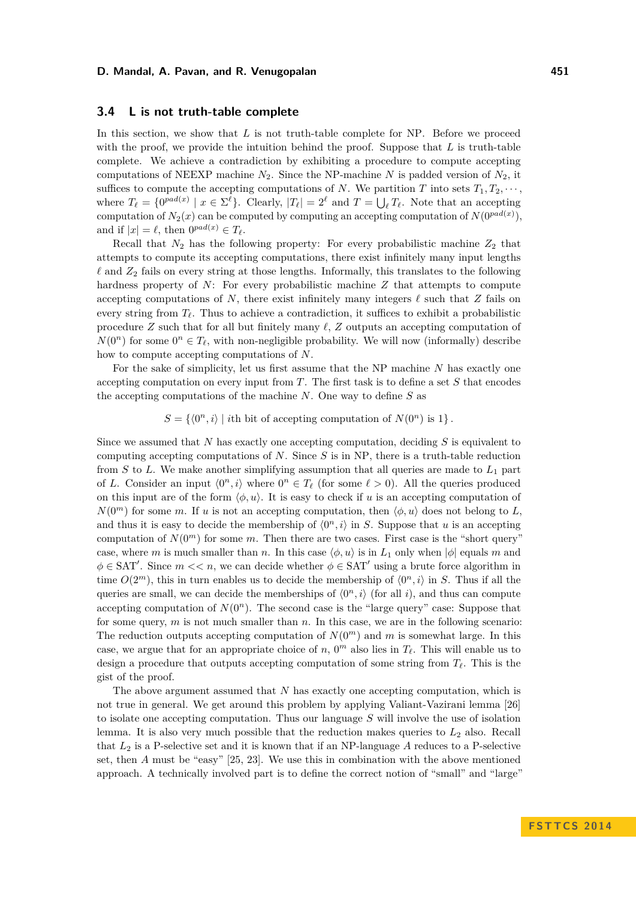# <span id="page-6-0"></span>**3.4 L is not truth-table complete**

In this section, we show that *L* is not truth-table complete for NP. Before we proceed with the proof, we provide the intuition behind the proof. Suppose that *L* is truth-table complete. We achieve a contradiction by exhibiting a procedure to compute accepting computations of NEEXP machine  $N_2$ . Since the NP-machine  $N$  is padded version of  $N_2$ , it suffices to compute the accepting computations of *N*. We partition *T* into sets  $T_1, T_2, \cdots$ , where  $T_{\ell} = \{0^{pad(x)} \mid x \in \Sigma^{\ell}\}\$ . Clearly,  $|T_{\ell}| = 2^{\ell}$  and  $T = \bigcup_{\ell} T_{\ell}$ . Note that an accepting computation of  $N_2(x)$  can be computed by computing an accepting computation of  $N(0^{pad(x)})$ , and if  $|x| = \ell$ , then  $0^{pad(x)} \in T_{\ell}$ .

Recall that  $N_2$  has the following property: For every probabilistic machine  $Z_2$  that attempts to compute its accepting computations, there exist infinitely many input lengths  $\ell$  and  $Z_2$  fails on every string at those lengths. Informally, this translates to the following hardness property of *N*: For every probabilistic machine *Z* that attempts to compute accepting computations of N, there exist infinitely many integers  $\ell$  such that Z fails on every string from  $T_\ell$ . Thus to achieve a contradiction, it suffices to exhibit a probabilistic procedure  $Z$  such that for all but finitely many  $\ell$ ,  $Z$  outputs an accepting computation of  $N(0^n)$  for some  $0^n \in T_\ell$ , with non-negligible probability. We will now (informally) describe how to compute accepting computations of *N*.

For the sake of simplicity, let us first assume that the NP machine *N* has exactly one accepting computation on every input from *T*. The first task is to define a set *S* that encodes the accepting computations of the machine *N*. One way to define *S* as

 $S = \{ \langle 0^n, i \rangle \mid i$ th bit of accepting computation of  $N(0^n)$  is 1}.

Since we assumed that *N* has exactly one accepting computation, deciding *S* is equivalent to computing accepting computations of *N*. Since *S* is in NP, there is a truth-table reduction from *S* to *L*. We make another simplifying assumption that all queries are made to *L*<sup>1</sup> part of *L*. Consider an input  $\langle 0^n, i \rangle$  where  $0^n \in T_\ell$  (for some  $\ell > 0$ ). All the queries produced on this input are of the form  $\langle \phi, u \rangle$ . It is easy to check if *u* is an accepting computation of  $N(0^m)$  for some *m*. If *u* is not an accepting computation, then  $\langle \phi, u \rangle$  does not belong to *L*, and thus it is easy to decide the membership of  $\langle 0^n, i \rangle$  in *S*. Suppose that *u* is an accepting computation of  $N(0^m)$  for some *m*. Then there are two cases. First case is the "short query" case, where *m* is much smaller than *n*. In this case  $\langle \phi, u \rangle$  is in  $L_1$  only when  $|\phi|$  equals *m* and  $\phi \in \text{SAT}'$ . Since  $m \ll n$ , we can decide whether  $\phi \in \text{SAT}'$  using a brute force algorithm in time  $O(2^m)$ , this in turn enables us to decide the membership of  $\langle 0^n, i \rangle$  in *S*. Thus if all the queries are small, we can decide the memberships of  $\langle 0^n, i \rangle$  (for all *i*), and thus can compute accepting computation of  $N(0^n)$ . The second case is the "large query" case: Suppose that for some query, *m* is not much smaller than *n*. In this case, we are in the following scenario: The reduction outputs accepting computation of  $N(0<sup>m</sup>)$  and *m* is somewhat large. In this case, we argue that for an appropriate choice of  $n$ ,  $0<sup>m</sup>$  also lies in  $T_{\ell}$ . This will enable us to design a procedure that outputs accepting computation of some string from  $T_\ell$ . This is the gist of the proof.

The above argument assumed that *N* has exactly one accepting computation, which is not true in general. We get around this problem by applying Valiant-Vazirani lemma [\[26\]](#page-11-18) to isolate one accepting computation. Thus our language *S* will involve the use of isolation lemma. It is also very much possible that the reduction makes queries to  $L_2$  also. Recall that  $L_2$  is a P-selective set and it is known that if an NP-language  $A$  reduces to a P-selective set, then *A* must be "easy" [\[25,](#page-11-17) [23\]](#page-11-5). We use this in combination with the above mentioned approach. A technically involved part is to define the correct notion of "small" and "large"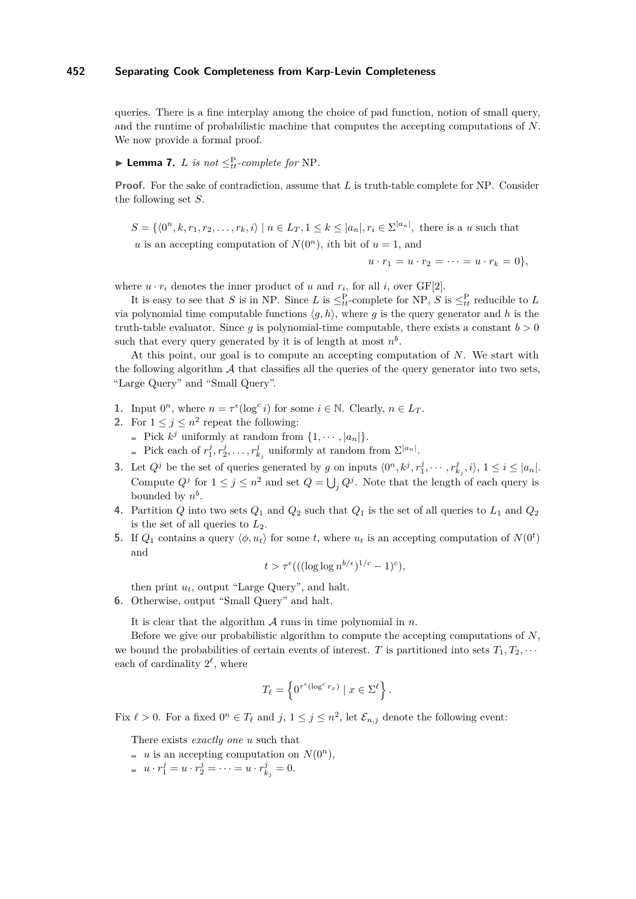queries. There is a fine interplay among the choice of pad function, notion of small query, and the runtime of probabilistic machine that computes the accepting computations of *N*. We now provide a formal proof.

# <span id="page-7-0"></span>► **Lemma 7.** *L is not*  $\leq^{P}_{tt}$ *-complete for* NP.

**Proof.** For the sake of contradiction, assume that *L* is truth-table complete for NP. Consider the following set *S*.

 $S = \{ \langle 0^n, k, r_1, r_2, \ldots, r_k, i \rangle \mid n \in L_T, 1 \leq k \leq |a_n|, r_i \in \Sigma^{|a_n|}, \text{ there is a } u \text{ such that }$ *u* is an accepting computation of  $N(0^n)$ , *i*th bit of  $u = 1$ , and

 $u \cdot r_1 = u \cdot r_2 = \cdots = u \cdot r_k = 0$ 

where  $u \cdot r_i$  denotes the inner product of  $u$  and  $r_i$ , for all  $i$ , over  $GF[2]$ .

It is easy to see that *S* is in NP. Since *L* is  $\leq_{tt}^{\text{P}}$ -complete for NP, *S* is  $\leq_{tt}^{\text{P}}$  reducible to *L* via polynomial time computable functions  $\langle q, h \rangle$ , where *q* is the query generator and *h* is the truth-table evaluator. Since  $g$  is polynomial-time computable, there exists a constant  $b > 0$ such that every query generated by it is of length at most  $n^b$ .

At this point, our goal is to compute an accepting computation of *N*. We start with the following algorithm  $\mathcal A$  that classifies all the queries of the query generator into two sets, "Large Query" and "Small Query".

- **1.** Input  $0^n$ , where  $n = \tau^{\epsilon}(\log^c i)$  for some  $i \in \mathbb{N}$ . Clearly,  $n \in L_T$ .
- **2.** For  $1 \leq j \leq n^2$  repeat the following:
	- Pick  $k^j$  uniformly at random from  $\{1, \dots, |a_n|\}.$
	- Pick each of  $r_1^j, r_2^j, \ldots, r_{k_j}^j$  uniformly at random from  $\Sigma^{|a_n|}$ .
- **3.** Let  $Q^j$  be the set of queries generated by g on inputs  $\langle 0^n, k^j, r_1^j, \dots, r_{k_j}^j, i \rangle$ ,  $1 \le i \le |a_n|$ . Compute  $Q^j$  for  $1 \leq j \leq n^2$  and set  $Q = \bigcup_j Q^j$ . Note that the length of each query is bounded by  $n^b$ .
- **4.** Partition *Q* into two sets *Q*<sup>1</sup> and *Q*<sup>2</sup> such that *Q*<sup>1</sup> is the set of all queries to *L*<sup>1</sup> and *Q*<sup>2</sup> is the set of all queries to *L*2.
- **5.** If  $Q_1$  contains a query  $\langle \phi, u_t \rangle$  for some *t*, where  $u_t$  is an accepting computation of  $N(0^t)$ and

$$
t > \tau^{\epsilon}(((\log \log n^{b/\epsilon})^{1/c} - 1)^{c}),
$$

then print  $u_t$ , output "Large Query", and halt.

**6.** Otherwise, output "Small Query" and halt.

It is clear that the algorithm A runs in time polynomial in *n*.

Before we give our probabilistic algorithm to compute the accepting computations of *N*, we bound the probabilities of certain events of interest. *T* is partitioned into sets  $T_1, T_2, \cdots$ each of cardinality  $2^{\ell}$ , where

$$
T_{\ell} = \left\{ 0^{\tau^{\epsilon}(\log^c r_x)} \mid x \in \Sigma^{\ell} \right\}.
$$

Fix  $\ell > 0$ . For a fixed  $0^n \in T_\ell$  and  $j, 1 \le j \le n^2$ , let  $\mathcal{E}_{n,j}$  denote the following event:

There exists *exactly one u* such that

- $u$  is an accepting computation on  $N(0^n)$ ,
- $u \cdot r_1^j = u \cdot r_2^j = \cdots = u \cdot r_{k_j}^j = 0.$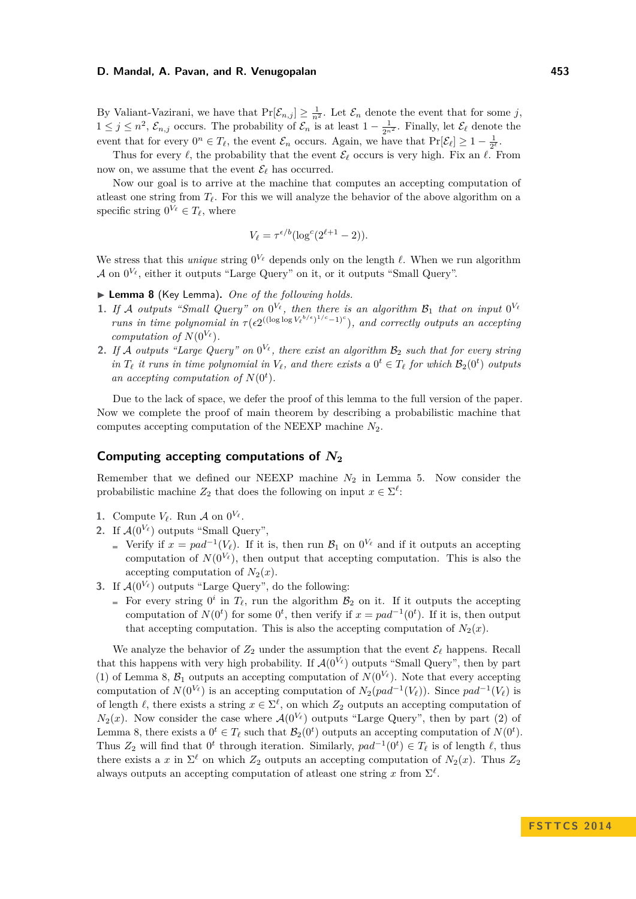By Valiant-Vazirani, we have that  $Pr[\mathcal{E}_{n,j}] \geq \frac{1}{n^2}$ . Let  $\mathcal{E}_n$  denote the event that for some *j*,  $1 ≤ j ≤ n<sup>2</sup>, E<sub>n,j</sub>$  occurs. The probability of  $E<sub>n</sub>$  is at least  $1 - \frac{1}{2n<sup>2</sup>}$ . Finally, let  $\mathcal{E}_{\ell}$  denote the event that for every  $0^n \in T_\ell$ , the event  $\mathcal{E}_n$  occurs. Again, we have that  $\Pr[\mathcal{E}_\ell] \geq 1 - \frac{1}{2^\ell}$ .

Thus for every  $\ell$ , the probability that the event  $\mathcal{E}_{\ell}$  occurs is very high. Fix an  $\ell$ . From now on, we assume that the event  $\mathcal{E}_{\ell}$  has occurred.

Now our goal is to arrive at the machine that computes an accepting computation of at least one string from  $T_\ell$ . For this we will analyze the behavior of the above algorithm on a specific string  $0^{V_{\ell}} \in T_{\ell}$ , where

$$
V_{\ell} = \tau^{\epsilon/b} (\log^c(2^{\ell+1} - 2)).
$$

We stress that this *unique* string  $0^{V_\ell}$  depends only on the length  $\ell$ . When we run algorithm  $\mathcal A$  on  $0^{V_{\ell}}$ , either it outputs "Large Query" on it, or it outputs "Small Query".

<span id="page-8-0"></span>▶ Lemma 8 (Key Lemma). One of the following holds.

- **1.** If A outputs "Small Query" on  $0^{V_{\ell}}$ , then there is an algorithm  $\mathcal{B}_1$  that on input  $0^{V_{\ell}}$ *runs in time polynomial in*  $\tau(\epsilon 2^{((\log \log V_{\ell}^{b/\epsilon})^{1/c}-1)^{c}})$ *, and correctly outputs an accepting computation of*  $N(0^{V_{\ell}})$ *.*
- **2.** If A outputs "Large Query" on  $0^{V_{\ell}}$ , there exist an algorithm  $\mathcal{B}_2$  such that for every string *in*  $T_{\ell}$  *it runs in time polynomial in*  $V_{\ell}$ *, and there exists a*  $0^t \in T_{\ell}$  *for which*  $\mathcal{B}_2(0^t)$  *outputs an accepting computation of*  $N(0<sup>t</sup>)$ *.*

Due to the lack of space, we defer the proof of this lemma to the full version of the paper. Now we complete the proof of main theorem by describing a probabilistic machine that computes accepting computation of the NEEXP machine *N*2.

# **Computing accepting computations of** *N***<sup>2</sup>**

Remember that we defined our NEEXP machine  $N_2$  in Lemma [5.](#page-4-1) Now consider the probabilistic machine  $Z_2$  that does the following on input  $x \in \Sigma^{\ell}$ :

- **1.** Compute  $V_\ell$ . Run  $\mathcal A$  on  $0^{V_\ell}$ .
- 2. If  $\mathcal{A}(0^{V_{\ell}})$  outputs "Small Query",
	- Verify if  $x = pad^{-1}(V_\ell)$ . If it is, then run  $\mathcal{B}_1$  on  $0^{V_\ell}$  and if it outputs an accepting computation of  $N(0^{V_{\ell}})$ , then output that accepting computation. This is also the accepting computation of  $N_2(x)$ .
- **3.** If  $A(0^{V_{\ell}})$  outputs "Large Query", do the following:
	- For every string  $0^i$  in  $T_\ell$ , run the algorithm  $\mathcal{B}_2$  on it. If it outputs the accepting computation of  $N(0^t)$  for some  $0^t$ , then verify if  $x = pad^{-1}(0^t)$ . If it is, then output that accepting computation. This is also the accepting computation of  $N_2(x)$ .

We analyze the behavior of  $Z_2$  under the assumption that the event  $\mathcal{E}_{\ell}$  happens. Recall that this happens with very high probability. If  $\mathcal{A}(0^{V_{\ell}})$  outputs "Small Query", then by part (1) of Lemma [8,](#page-8-0)  $\mathcal{B}_1$  outputs an accepting computation of  $N(0^{V_\ell})$ . Note that every accepting computation of  $N(0^{V_{\ell}})$  is an accepting computation of  $N_2(pad^{-1}(V_{\ell}))$ . Since  $pad^{-1}(V_{\ell})$  is of length  $\ell$ , there exists a string  $x \in \Sigma^{\ell}$ , on which  $Z_2$  outputs an accepting computation of  $N_2(x)$ . Now consider the case where  $\mathcal{A}(0^{V_\ell})$  outputs "Large Query", then by part (2) of Lemma [8,](#page-8-0) there exists a  $0^t \in T_\ell$  such that  $\mathcal{B}_2(0^t)$  outputs an accepting computation of  $N(0^t)$ . Thus  $Z_2$  will find that  $0^t$  through iteration. Similarly,  $pad^{-1}(0^t) \in T_\ell$  is of length  $\ell$ , thus there exists a *x* in  $\Sigma^{\ell}$  on which  $Z_2$  outputs an accepting computation of  $N_2(x)$ . Thus  $Z_2$ always outputs an accepting computation of at east one string  $x$  from  $\Sigma^{\ell}$ .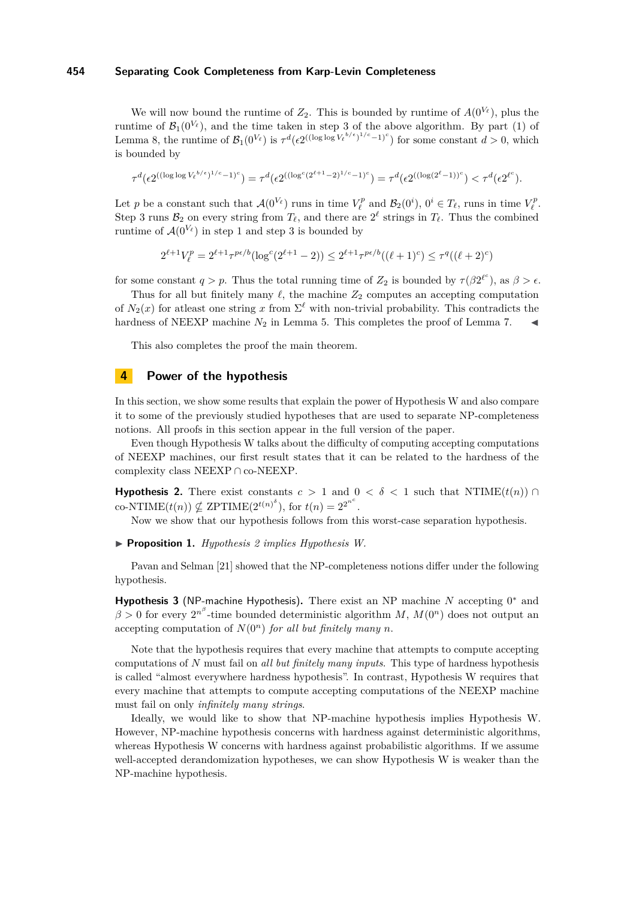We will now bound the runtime of  $Z_2$ . This is bounded by runtime of  $A(0^{V_\ell})$ , plus the runtime of  $\mathcal{B}_1(0^{V_\ell})$ , and the time taken in step 3 of the above algorithm. By part (1) of Lemma [8,](#page-8-0) the runtime of  $\mathcal{B}_1(0^{V_\ell})$  is  $\tau^d(\epsilon 2^{((\log \log V_\ell^{b/\epsilon})^{1/c}-1)^c})$  for some constant  $d > 0$ , which is bounded by

$$
\tau^d(\epsilon 2^{((\log\log V_\ell^{b/\epsilon})^{1/c}-1)^c})=\tau^d(\epsilon 2^{((\log^c(2^{\ell+1}-2)^{1/c}-1)^c})=\tau^d(\epsilon 2^{((\log(2^\ell-1))^c})<\tau^d(\epsilon 2^{\ell^c}).
$$

Let *p* be a constant such that  $\mathcal{A}(0^{V_{\ell}})$  runs in time  $V_{\ell}^{p}$  and  $\mathcal{B}_{2}(0^{i}), 0^{i} \in T_{\ell}$ , runs in time  $V_{\ell}^{p}$ . Step 3 runs  $\mathcal{B}_2$  on every string from  $T_\ell$ , and there are  $2^\ell$  strings in  $T_\ell$ . Thus the combined runtime of  $\mathcal{A}(0^{V_{\ell}})$  in step 1 and step 3 is bounded by

$$
2^{\ell+1}V_\ell^p = 2^{\ell+1}\tau^{p\epsilon/b}(\log^c(2^{\ell+1}-2)) \leq 2^{\ell+1}\tau^{p\epsilon/b}((\ell+1)^c) \leq \tau^q((\ell+2)^c)
$$

for some constant  $q > p$ . Thus the total running time of  $Z_2$  is bounded by  $\tau(\beta 2^{\ell^c})$ , as  $\beta > \epsilon$ .

Thus for all but finitely many  $\ell$ , the machine  $Z_2$  computes an accepting computation of  $N_2(x)$  for at least one string x from  $\Sigma^{\ell}$  with non-trivial probability. This contradicts the hardness of NEEXP machine  $N_2$  in Lemma [5.](#page-4-1) This completes the proof of Lemma [7.](#page-7-0)

This also completes the proof the main theorem.

# **4 Power of the hypothesis**

In this section, we show some results that explain the power of Hypothesis W and also compare it to some of the previously studied hypotheses that are used to separate NP-completeness notions. All proofs in this section appear in the full version of the paper.

Even though Hypothesis W talks about the difficulty of computing accepting computations of NEEXP machines, our first result states that it can be related to the hardness of the complexity class NEEXP ∩ co-NEEXP.

**Hypothesis 2.** There exist constants  $c > 1$  and  $0 < \delta < 1$  such that NTIME( $t(n)$ ) ∩ co-NTIME $(t(n)) \nsubseteq \text{ZPTIME}(2^{t(n)^{\delta}})$ , for  $t(n) = 2^{2^{n^c}}$ .

Now we show that our hypothesis follows from this worst-case separation hypothesis.

I **Proposition 1.** *Hypothesis 2 implies Hypothesis W.*

Pavan and Selman [\[21\]](#page-11-14) showed that the NP-completeness notions differ under the following hypothesis.

Hypothesis 3 (NP-machine Hypothesis). There exist an NP machine *N* accepting 0<sup>\*</sup> and  $\beta > 0$  for every  $2^{n^{\beta}}$ -time bounded deterministic algorithm *M*,  $M(0^n)$  does not output an accepting computation of  $N(0^n)$  *for all but finitely many n*.

Note that the hypothesis requires that every machine that attempts to compute accepting computations of *N* must fail on *all but finitely many inputs*. This type of hardness hypothesis is called "almost everywhere hardness hypothesis". In contrast, Hypothesis W requires that every machine that attempts to compute accepting computations of the NEEXP machine must fail on only *infinitely many strings*.

Ideally, we would like to show that NP-machine hypothesis implies Hypothesis W. However, NP-machine hypothesis concerns with hardness against deterministic algorithms, whereas Hypothesis W concerns with hardness against probabilistic algorithms. If we assume well-accepted derandomization hypotheses, we can show Hypothesis W is weaker than the NP-machine hypothesis.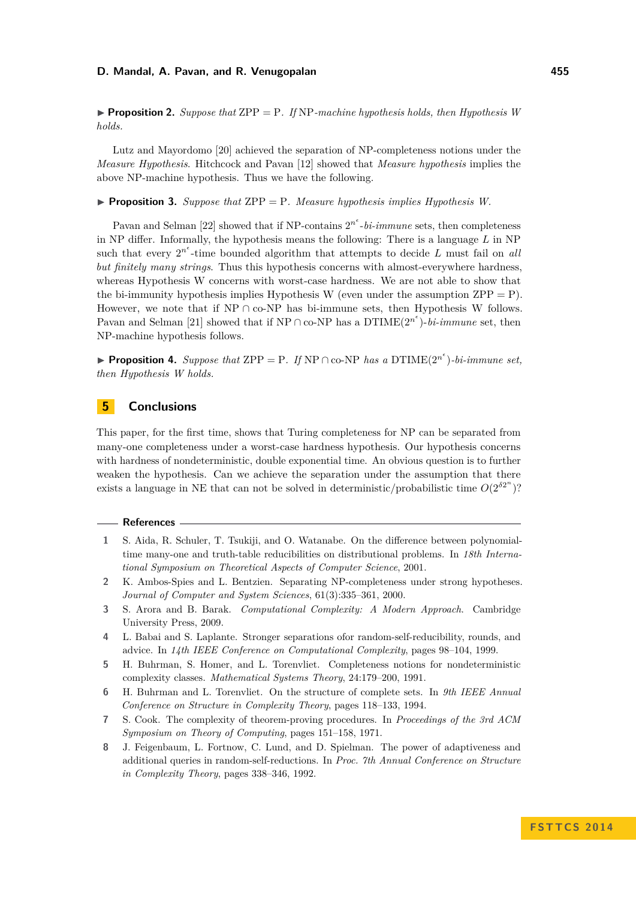**Proposition 2.** Suppose that  $\text{ZPP} = \text{P}$ . If NP-machine hypothesis holds, then Hypothesis W *holds.*

Lutz and Mayordomo [\[20\]](#page-11-12) achieved the separation of NP-completeness notions under the *Measure Hypothesis*. Hitchcock and Pavan [\[12\]](#page-11-19) showed that *Measure hypothesis* implies the above NP-machine hypothesis. Thus we have the following.

**Proposition 3.** Suppose that  $\text{ZPP} = \text{P}$ . Measure hypothesis implies Hypothesis W.

Pavan and Selman [\[22\]](#page-11-15) showed that if NP-contains  $2^{n^e}$ -bi-immune sets, then completeness in NP differ. Informally, the hypothesis means the following: There is a language *L* in NP such that every  $2^{n^e}$ -time bounded algorithm that attempts to decide  $L$  must fail on *all but finitely many strings*. Thus this hypothesis concerns with almost-everywhere hardness, whereas Hypothesis W concerns with worst-case hardness. We are not able to show that the bi-immunity hypothesis implies Hypothesis W (even under the assumption  $\text{ZPP} = \text{P}$ ). However, we note that if  $NP \cap co-NP$  has bi-immune sets, then Hypothesis W follows. Pavan and Selman [\[21\]](#page-11-14) showed that if NP ∩ co-NP has a DTIME $(2^{n^{\epsilon}})$ -*bi-immune* set, then NP-machine hypothesis follows.

**► Proposition 4.** Suppose that  $\text{ZPP} = \text{P}$ . If  $\text{NP} \cap \text{co-NP}$  has a  $\text{DTIME}(2^{n^e})$ -bi-immune set, *then Hypothesis W holds.*

# **5 Conclusions**

This paper, for the first time, shows that Turing completeness for NP can be separated from many-one completeness under a worst-case hardness hypothesis. Our hypothesis concerns with hardness of nondeterministic, double exponential time. An obvious question is to further weaken the hypothesis. Can we achieve the separation under the assumption that there exists a language in NE that can not be solved in deterministic/probabilistic time  $O(2^{\delta 2^n})$ ?

#### **References**

- <span id="page-10-1"></span>**1** S. Aida, R. Schuler, T. Tsukiji, and O. Watanabe. On the difference between polynomialtime many-one and truth-table reducibilities on distributional problems. In *18th International Symposium on Theoretical Aspects of Computer Science*, 2001.
- <span id="page-10-6"></span>**2** K. Ambos-Spies and L. Bentzien. Separating NP-completeness under strong hypotheses. *Journal of Computer and System Sciences*, 61(3):335–361, 2000.
- <span id="page-10-7"></span>**3** S. Arora and B. Barak. *Computational Complexity: A Modern Approach*. Cambridge University Press, 2009.
- <span id="page-10-2"></span>**4** L. Babai and S. Laplante. Stronger separations ofor random-self-reducibility, rounds, and advice. In *14th IEEE Conference on Computational Complexity*, pages 98–104, 1999.
- <span id="page-10-4"></span>**5** H. Buhrman, S. Homer, and L. Torenvliet. Completeness notions for nondeterministic complexity classes. *Mathematical Systems Theory*, 24:179–200, 1991.
- <span id="page-10-5"></span>**6** H. Buhrman and L. Torenvliet. On the structure of complete sets. In *9th IEEE Annual Conference on Structure in Complexity Theory*, pages 118–133, 1994.
- <span id="page-10-0"></span>**7** S. Cook. The complexity of theorem-proving procedures. In *Proceedings of the 3rd ACM Symposium on Theory of Computing*, pages 151–158, 1971.
- <span id="page-10-3"></span>**8** J. Feigenbaum, L. Fortnow, C. Lund, and D. Spielman. The power of adaptiveness and additional queries in random-self-reductions. In *Proc. 7th Annual Conference on Structure in Complexity Theory*, pages 338–346, 1992.